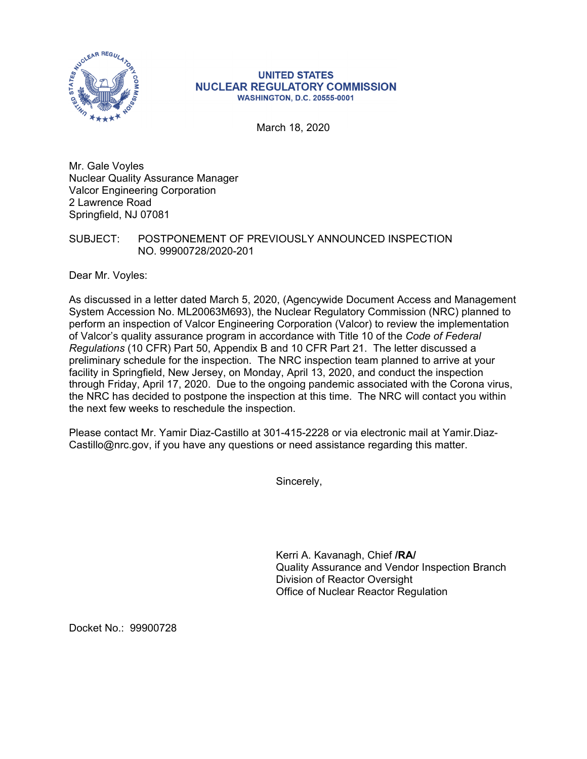

## **UNITED STATES NUCLEAR REGULATORY COMMISSION WASHINGTON, D.C. 20555-0001**

March 18, 2020

Mr. Gale Voyles Nuclear Quality Assurance Manager Valcor Engineering Corporation 2 Lawrence Road Springfield, NJ 07081

## SUBJECT: POSTPONEMENT OF PREVIOUSLY ANNOUNCED INSPECTION NO. 99900728/2020-201

Dear Mr. Voyles:

As discussed in a letter dated March 5, 2020, (Agencywide Document Access and Management System Accession No. ML20063M693), the Nuclear Regulatory Commission (NRC) planned to perform an inspection of Valcor Engineering Corporation (Valcor) to review the implementation of Valcor's quality assurance program in accordance with Title 10 of the *Code of Federal Regulations* (10 CFR) Part 50, Appendix B and 10 CFR Part 21. The letter discussed a preliminary schedule for the inspection. The NRC inspection team planned to arrive at your facility in Springfield, New Jersey, on Monday, April 13, 2020, and conduct the inspection through Friday, April 17, 2020. Due to the ongoing pandemic associated with the Corona virus, the NRC has decided to postpone the inspection at this time. The NRC will contact you within the next few weeks to reschedule the inspection.

Please contact Mr. Yamir Diaz-Castillo at 301-415-2228 or via electronic mail at Yamir.Diaz-Castillo@nrc.gov, if you have any questions or need assistance regarding this matter.

Sincerely,

Kerri A. Kavanagh, Chief **/RA/**  Quality Assurance and Vendor Inspection Branch Division of Reactor Oversight Office of Nuclear Reactor Regulation

Docket No.: 99900728